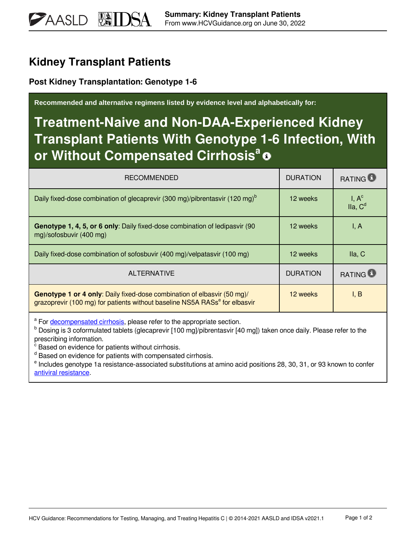## **Kidney Transplant Patients**

**PAASLD** 

**Post Kidney Transplantation: Genotype 1-6**

**Recommended and alternative regimens listed by evidence level and alphabetically for:**

## **Treatment-Naive and Non-DAA-Experienced Kidney Transplant Patients With Genotype 1-6 Infection, With or Without Compensated Cirrhosis<sup>a</sup>**

| <b>RECOMMENDED</b>                                                                                                                                                       | <b>DURATION</b> | <b>RATING</b>                  |
|--------------------------------------------------------------------------------------------------------------------------------------------------------------------------|-----------------|--------------------------------|
| Daily fixed-dose combination of glecaprevir (300 mg)/pibrentasvir (120 mg) <sup>b</sup>                                                                                  | 12 weeks        | $I, Ac$<br>Ila, C <sup>d</sup> |
| Genotype 1, 4, 5, or 6 only: Daily fixed-dose combination of ledipasvir (90<br>mg)/sofosbuvir (400 mg)                                                                   | 12 weeks        | I, A                           |
| Daily fixed-dose combination of sofosbuvir (400 mg)/velpatasvir (100 mg)                                                                                                 | 12 weeks        | lla, C                         |
| <b>ALTERNATIVE</b>                                                                                                                                                       | <b>DURATION</b> | <b>RATING</b>                  |
| <b>Genotype 1 or 4 only:</b> Daily fixed-dose combination of elbasvir (50 mg)/<br>grazoprevir (100 mg) for patients without baseline NS5A RASs <sup>e</sup> for elbasvir | 12 weeks        | I, B                           |

<sup>a</sup> For [decompensated cirrhosis,](https://www.hcvguidelines.org/unique-populations/decompensated-cirrhosis) please refer to the appropriate section.

<sup>b</sup> Dosing is 3 coformulated tablets (glecaprevir [100 mg]/pibrentasvir [40 mg]) taken once daily. Please refer to the prescribing information.

<sup>c</sup> Based on evidence for patients without cirrhosis.

<sup>d</sup> Based on evidence for patients with compensated cirrhosis.

<sup>e</sup> Includes genotype 1a resistance-associated substitutions at amino acid positions 28, 30, 31, or 93 known to confer [antiviral resistance.](https://www.hcvguidelines.org/evaluate/resistance)